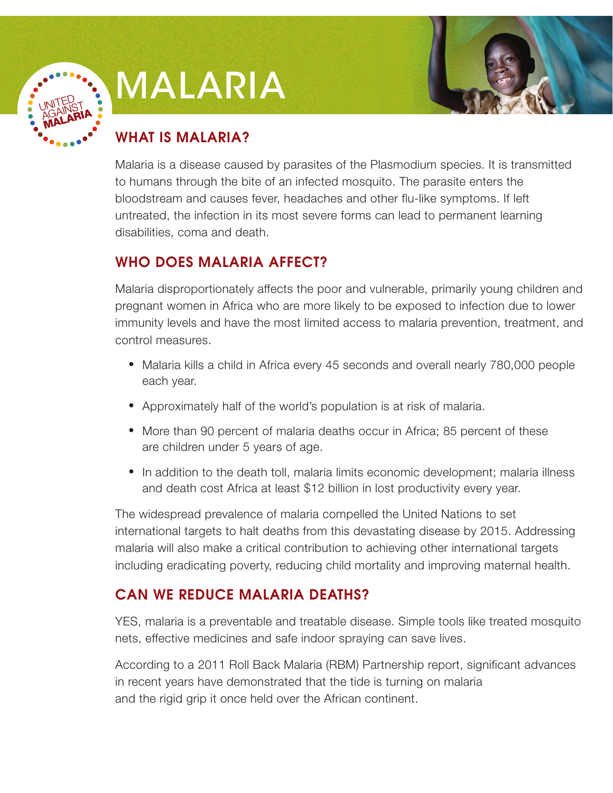

# Malaria



## WHAT IS MALARIA?

Malaria is a disease caused by parasites of the Plasmodium species. It is transmitted to humans through the bite of an infected mosquito. The parasite enters the bloodstream and causes fever, headaches and other flu-like symptoms. If left untreated, the infection in its most severe forms can lead to permanent learning disabilities, coma and death.

### WHO DOES MALARIA AFFECT?

Malaria disproportionately affects the poor and vulnerable, primarily young children and pregnant women in Africa who are more likely to be exposed to infection due to lower immunity levels and have the most limited access to malaria prevention, treatment, and control measures.

- **•**  Malaria kills a child in Africa every 45 seconds and overall nearly 780,000 people each year.
- **•**  Approximately half of the world's population is at risk of malaria.
- More than 90 percent of malaria deaths occur in Africa; 85 percent of these are children under 5 years of age.
- In addition to the death toll, malaria limits economic development; malaria illness and death cost Africa at least \$12 billion in lost productivity every year.

The widespread prevalence of malaria compelled the United Nations to set international targets to halt deaths from this devastating disease by 2015. Addressing malaria will also make a critical contribution to achieving other international targets including eradicating poverty, reducing child mortality and improving maternal health.

### CAN WE REDUCE MALARIA DEATHS?

YES, malaria is a preventable and treatable disease. Simple tools like treated mosquito nets, effective medicines and safe indoor spraying can save lives.

According to a 2011 Roll Back Malaria (RBM) Partnership report, significant advances in recent years have demonstrated that the tide is turning on malaria and the rigid grip it once held over the African continent.